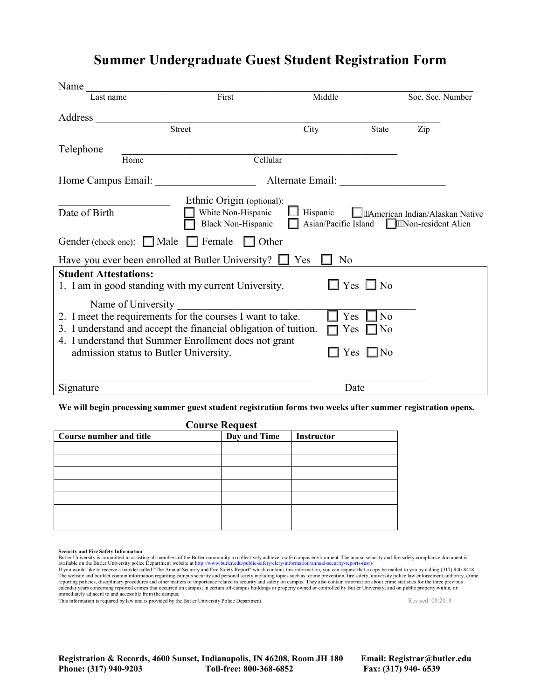# **Summer Undergraduate Guest Student Registration Form**

| Name                                                                                                                                                                                                                                                                                                               |                                                                              |          |                      |                                                                                |  |
|--------------------------------------------------------------------------------------------------------------------------------------------------------------------------------------------------------------------------------------------------------------------------------------------------------------------|------------------------------------------------------------------------------|----------|----------------------|--------------------------------------------------------------------------------|--|
| Last name                                                                                                                                                                                                                                                                                                          | First                                                                        | Middle   |                      | Soc. Sec. Number                                                               |  |
| Address                                                                                                                                                                                                                                                                                                            | <b>Street</b>                                                                | City     | State                | Zip                                                                            |  |
| Telephone<br>Home                                                                                                                                                                                                                                                                                                  | Cellular                                                                     |          |                      |                                                                                |  |
|                                                                                                                                                                                                                                                                                                                    |                                                                              |          |                      |                                                                                |  |
| Date of Birth                                                                                                                                                                                                                                                                                                      | Ethnic Origin (optional):<br>White Non-Hispanic<br><b>Black Non-Hispanic</b> | Hispanic |                      | "American Indian/Alaskan Native<br>Asian/Pacific Island IV "Non-resident Alien |  |
| Gender (check one): Male Female Other                                                                                                                                                                                                                                                                              |                                                                              |          |                      |                                                                                |  |
| Have you ever been enrolled at Butler University? $\Box$ Yes<br>N <sub>o</sub>                                                                                                                                                                                                                                     |                                                                              |          |                      |                                                                                |  |
| <b>Student Attestations:</b><br>1. I am in good standing with my current University.                                                                                                                                                                                                                               |                                                                              |          | $\Box$ Yes $\Box$ No |                                                                                |  |
| Name of University<br>2. I meet the requirements for the courses I want to take.<br>Yes<br>N <sub>o</sub><br>3. I understand and accept the financial obligation of tuition.<br>Yes<br>∐ No<br>4. I understand that Summer Enrollment does not grant<br>Yes<br>$\Box$ No<br>admission status to Butler University. |                                                                              |          |                      |                                                                                |  |
| Signature                                                                                                                                                                                                                                                                                                          |                                                                              |          | Date                 |                                                                                |  |

**We will begin processing summer guest student registration forms two weeks after summer registration opens.**

| <b>Course Request</b>   |              |                   |  |  |
|-------------------------|--------------|-------------------|--|--|
| Course number and title | Day and Time | <b>Instructor</b> |  |  |
|                         |              |                   |  |  |
|                         |              |                   |  |  |
|                         |              |                   |  |  |
|                         |              |                   |  |  |
|                         |              |                   |  |  |
|                         |              |                   |  |  |
|                         |              |                   |  |  |

reporting policies, disciplinary procedures and other matters of importance related to security and safety on campus. They also contain information about crime statistics for the three previous<br>calendar years concerning re

This information is required by law and is provided by the Butler University Police Department. Revised: 08/2018

**Registration & Records, 4600 Sunset, Indianapolis, IN 46208, Room JH 180 Email: Registrar@butler.edu Phone: (317) 940-9203 Toll-free: 800-368-6852 Fax: (317) 940- 6539**

Security and Fire Safety Information<br>Butler University is committed to assisting all members of the Butler community to collectively achieve a safe campus environment. The annual security and fire safety compliance documen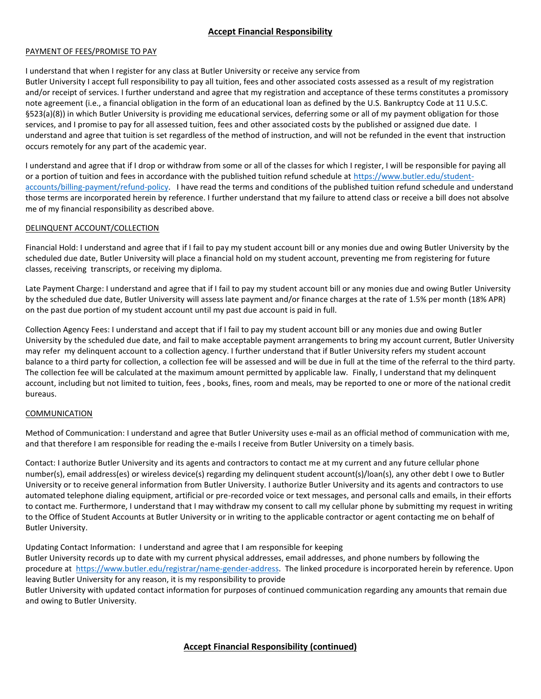# **Accept Financial Responsibility**

### PAYMENT OF FEES/PROMISE TO PAY

I understand that when I register for any class at Butler University or receive any service from

Butler University I accept full responsibility to pay all tuition, fees and other associated costs assessed as a result of my registration and/or receipt of services. I further understand and agree that my registration and acceptance of these terms constitutes a promissory note agreement (i.e., a financial obligation in the form of an educational loan as defined by the U.S. Bankruptcy Code at 11 U.S.C. §523(a)(8)) in which Butler University is providing me educational services, deferring some or all of my payment obligation for those services, and I promise to pay for all assessed tuition, fees and other associated costs by the published or assigned due date. I understand and agree that tuition is set regardless of the method of instruction, and will not be refunded in the event that instruction occurs remotely for any part of the academic year.

I understand and agree that if I drop or withdraw from some or all of the classes for which I register, I will be responsible for paying all or a portion of tuition and fees in accordance with the published tuition refund schedule at [https://www.butler.edu/student](https://www.butler.edu/student-accounts/billing-payment/refund-policy)[accounts/billing-payment/refund-policy.](https://www.butler.edu/student-accounts/billing-payment/refund-policy) I have read the terms and conditions of the published tuition refund schedule and understand those terms are incorporated herein by reference. I further understand that my failure to attend class or receive a bill does not absolve me of my financial responsibility as described above.

# DELINQUENT ACCOUNT/COLLECTION

Financial Hold: I understand and agree that if I fail to pay my student account bill or any monies due and owing Butler University by the scheduled due date, Butler University will place a financial hold on my student account, preventing me from registering for future classes, receiving transcripts, or receiving my diploma.

Late Payment Charge: I understand and agree that if I fail to pay my student account bill or any monies due and owing Butler University by the scheduled due date, Butler University will assess late payment and/or finance charges at the rate of 1.5% per month (18% APR) on the past due portion of my student account until my past due account is paid in full.

Collection Agency Fees: I understand and accept that if I fail to pay my student account bill or any monies due and owing Butler University by the scheduled due date, and fail to make acceptable payment arrangements to bring my account current, Butler University may refer my delinquent account to a collection agency. I further understand that if Butler University refers my student account balance to a third party for collection, a collection fee will be assessed and will be due in full at the time of the referral to the third party. The collection fee will be calculated at the maximum amount permitted by applicable law. Finally, I understand that my delinquent account, including but not limited to tuition, fees , books, fines, room and meals, may be reported to one or more of the national credit bureaus.

# COMMUNICATION

Method of Communication: I understand and agree that Butler University uses e-mail as an official method of communication with me, and that therefore I am responsible for reading the e-mails I receive from Butler University on a timely basis.

Contact: I authorize Butler University and its agents and contractors to contact me at my current and any future cellular phone number(s), email address(es) or wireless device(s) regarding my delinquent student account(s)/loan(s), any other debt I owe to Butler University or to receive general information from Butler University. I authorize Butler University and its agents and contractors to use automated telephone dialing equipment, artificial or pre-recorded voice or text messages, and personal calls and emails, in their efforts to contact me. Furthermore, I understand that I may withdraw my consent to call my cellular phone by submitting my request in writing to the Office of Student Accounts at Butler University or in writing to the applicable contractor or agent contacting me on behalf of Butler University.

Updating Contact Information: I understand and agree that I am responsible for keeping Butler University records up to date with my current physical addresses, email addresses, and phone numbers by following the procedure at [https://www.butler.edu/registrar/name-gender-address.](https://www.butler.edu/registrar/name-gender-address) The linked procedure is incorporated herein by reference. Upon leaving Butler University for any reason, it is my responsibility to provide

Butler University with updated contact information for purposes of continued communication regarding any amounts that remain due and owing to Butler University.